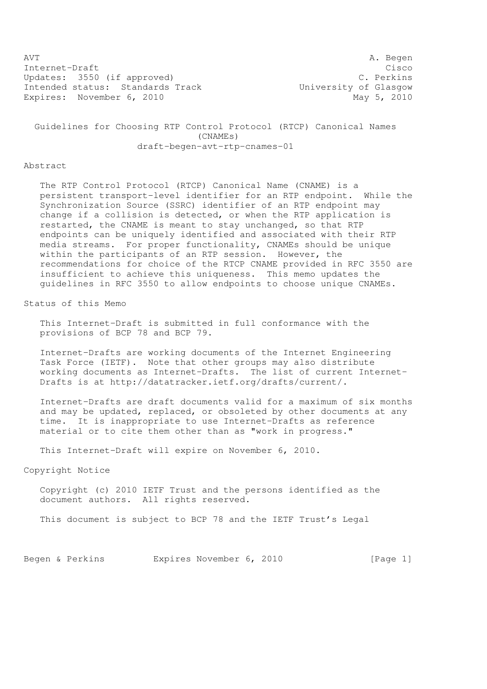AVT A. Begen Internet-Draft Cisco Updates: 3550 (if approved) C. Perkins Intended status: Standards Track University of Glasgow Expires: November 6, 2010 May 5, 2010

 Guidelines for Choosing RTP Control Protocol (RTCP) Canonical Names (CNAMEs) draft-begen-avt-rtp-cnames-01

#### Abstract

 The RTP Control Protocol (RTCP) Canonical Name (CNAME) is a persistent transport-level identifier for an RTP endpoint. While the Synchronization Source (SSRC) identifier of an RTP endpoint may change if a collision is detected, or when the RTP application is restarted, the CNAME is meant to stay unchanged, so that RTP endpoints can be uniquely identified and associated with their RTP media streams. For proper functionality, CNAMEs should be unique within the participants of an RTP session. However, the recommendations for choice of the RTCP CNAME provided in RFC 3550 are insufficient to achieve this uniqueness. This memo updates the guidelines in RFC 3550 to allow endpoints to choose unique CNAMEs.

Status of this Memo

 This Internet-Draft is submitted in full conformance with the provisions of BCP 78 and BCP 79.

 Internet-Drafts are working documents of the Internet Engineering Task Force (IETF). Note that other groups may also distribute working documents as Internet-Drafts. The list of current Internet- Drafts is at http://datatracker.ietf.org/drafts/current/.

 Internet-Drafts are draft documents valid for a maximum of six months and may be updated, replaced, or obsoleted by other documents at any time. It is inappropriate to use Internet-Drafts as reference material or to cite them other than as "work in progress."

This Internet-Draft will expire on November 6, 2010.

Copyright Notice

 Copyright (c) 2010 IETF Trust and the persons identified as the document authors. All rights reserved.

This document is subject to BCP 78 and the IETF Trust's Legal

Begen & Perkins Expires November 6, 2010 [Page 1]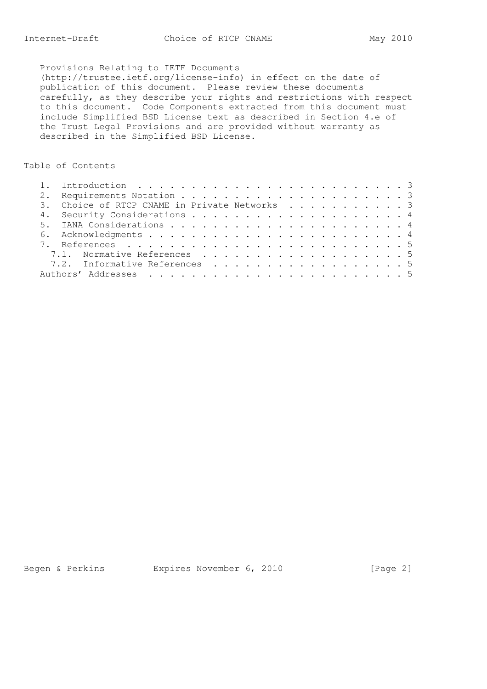## Provisions Relating to IETF Documents

 (http://trustee.ietf.org/license-info) in effect on the date of publication of this document. Please review these documents carefully, as they describe your rights and restrictions with respect to this document. Code Components extracted from this document must include Simplified BSD License text as described in Section 4.e of the Trust Legal Provisions and are provided without warranty as described in the Simplified BSD License.

# Table of Contents

|  | 3. Choice of RTCP CNAME in Private Networks 3 |  |
|--|-----------------------------------------------|--|
|  |                                               |  |
|  |                                               |  |
|  |                                               |  |
|  |                                               |  |
|  | 7.1. Normative References 5                   |  |
|  | 7.2. Informative References 5                 |  |
|  |                                               |  |

Begen & Perkins Expires November 6, 2010 [Page 2]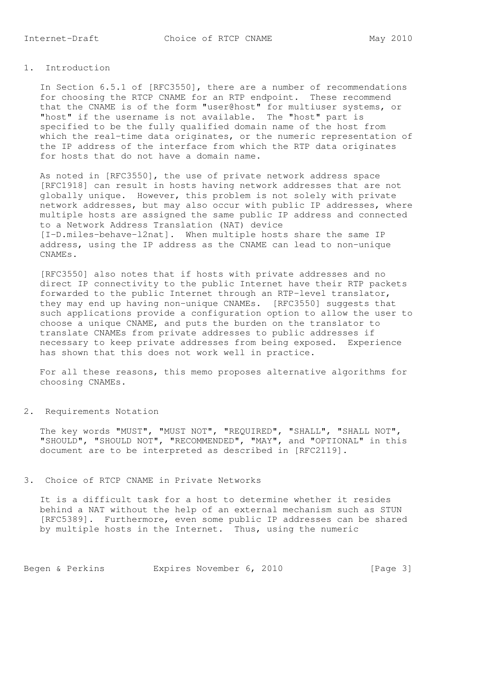### 1. Introduction

 In Section 6.5.1 of [RFC3550], there are a number of recommendations for choosing the RTCP CNAME for an RTP endpoint. These recommend that the CNAME is of the form "user@host" for multiuser systems, or "host" if the username is not available. The "host" part is specified to be the fully qualified domain name of the host from which the real-time data originates, or the numeric representation of the IP address of the interface from which the RTP data originates for hosts that do not have a domain name.

 As noted in [RFC3550], the use of private network address space [RFC1918] can result in hosts having network addresses that are not globally unique. However, this problem is not solely with private network addresses, but may also occur with public IP addresses, where multiple hosts are assigned the same public IP address and connected to a Network Address Translation (NAT) device [I-D.miles-behave-l2nat]. When multiple hosts share the same IP address, using the IP address as the CNAME can lead to non-unique CNAMEs.

 [RFC3550] also notes that if hosts with private addresses and no direct IP connectivity to the public Internet have their RTP packets forwarded to the public Internet through an RTP-level translator, they may end up having non-unique CNAMEs. [RFC3550] suggests that such applications provide a configuration option to allow the user to choose a unique CNAME, and puts the burden on the translator to translate CNAMEs from private addresses to public addresses if necessary to keep private addresses from being exposed. Experience has shown that this does not work well in practice.

 For all these reasons, this memo proposes alternative algorithms for choosing CNAMEs.

#### 2. Requirements Notation

 The key words "MUST", "MUST NOT", "REQUIRED", "SHALL", "SHALL NOT", "SHOULD", "SHOULD NOT", "RECOMMENDED", "MAY", and "OPTIONAL" in this document are to be interpreted as described in [RFC2119].

#### 3. Choice of RTCP CNAME in Private Networks

 It is a difficult task for a host to determine whether it resides behind a NAT without the help of an external mechanism such as STUN [RFC5389]. Furthermore, even some public IP addresses can be shared by multiple hosts in the Internet. Thus, using the numeric

Begen & Perkins Expires November 6, 2010 [Page 3]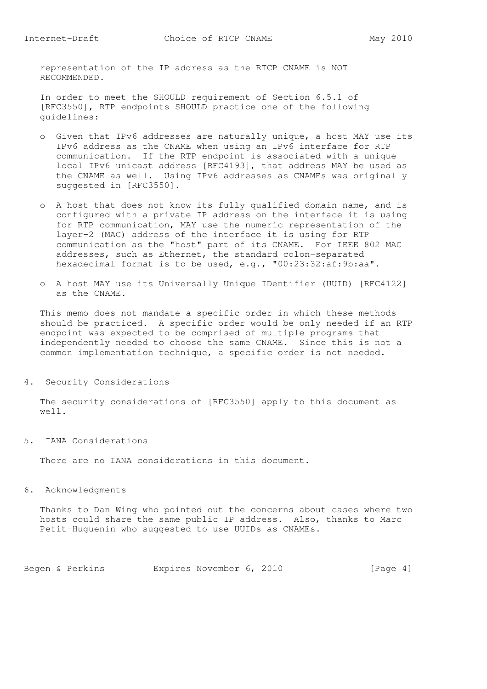representation of the IP address as the RTCP CNAME is NOT RECOMMENDED.

 In order to meet the SHOULD requirement of Section 6.5.1 of [RFC3550], RTP endpoints SHOULD practice one of the following guidelines:

- o Given that IPv6 addresses are naturally unique, a host MAY use its IPv6 address as the CNAME when using an IPv6 interface for RTP communication. If the RTP endpoint is associated with a unique local IPv6 unicast address [RFC4193], that address MAY be used as the CNAME as well. Using IPv6 addresses as CNAMEs was originally suggested in [RFC3550].
- o A host that does not know its fully qualified domain name, and is configured with a private IP address on the interface it is using for RTP communication, MAY use the numeric representation of the layer-2 (MAC) address of the interface it is using for RTP communication as the "host" part of its CNAME. For IEEE 802 MAC addresses, such as Ethernet, the standard colon-separated hexadecimal format is to be used, e.g., "00:23:32:af:9b:aa".
- o A host MAY use its Universally Unique IDentifier (UUID) [RFC4122] as the CNAME.

 This memo does not mandate a specific order in which these methods should be practiced. A specific order would be only needed if an RTP endpoint was expected to be comprised of multiple programs that independently needed to choose the same CNAME. Since this is not a common implementation technique, a specific order is not needed.

4. Security Considerations

 The security considerations of [RFC3550] apply to this document as well.

5. IANA Considerations

There are no IANA considerations in this document.

6. Acknowledgments

 Thanks to Dan Wing who pointed out the concerns about cases where two hosts could share the same public IP address. Also, thanks to Marc Petit-Huguenin who suggested to use UUIDs as CNAMEs.

Begen & Perkins Expires November 6, 2010 [Page 4]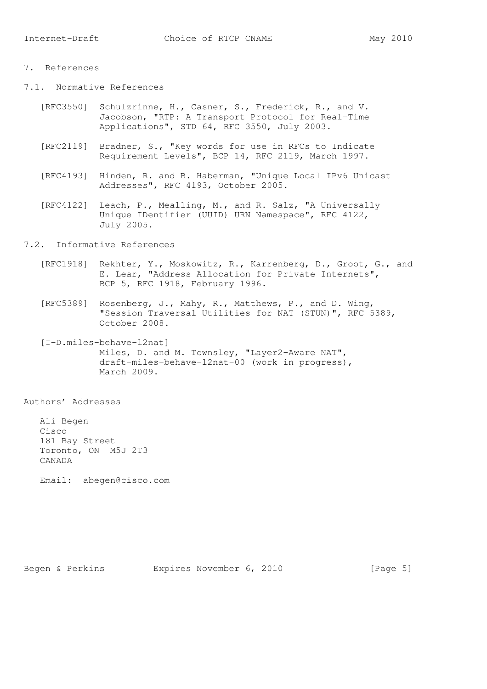### 7. References

- 7.1. Normative References
	- [RFC3550] Schulzrinne, H., Casner, S., Frederick, R., and V. Jacobson, "RTP: A Transport Protocol for Real-Time Applications", STD 64, RFC 3550, July 2003.
	- [RFC2119] Bradner, S., "Key words for use in RFCs to Indicate Requirement Levels", BCP 14, RFC 2119, March 1997.
	- [RFC4193] Hinden, R. and B. Haberman, "Unique Local IPv6 Unicast Addresses", RFC 4193, October 2005.
	- [RFC4122] Leach, P., Mealling, M., and R. Salz, "A Universally Unique IDentifier (UUID) URN Namespace", RFC 4122, July 2005.
- 7.2. Informative References
	- [RFC1918] Rekhter, Y., Moskowitz, R., Karrenberg, D., Groot, G., and E. Lear, "Address Allocation for Private Internets", BCP 5, RFC 1918, February 1996.
	- [RFC5389] Rosenberg, J., Mahy, R., Matthews, P., and D. Wing, "Session Traversal Utilities for NAT (STUN)", RFC 5389, October 2008.
	- [I-D.miles-behave-l2nat] Miles, D. and M. Townsley, "Layer2-Aware NAT", draft-miles-behave-l2nat-00 (work in progress), March 2009.

Authors' Addresses

 Ali Begen Cisco 181 Bay Street Toronto, ON M5J 2T3 CANADA

Email: abegen@cisco.com